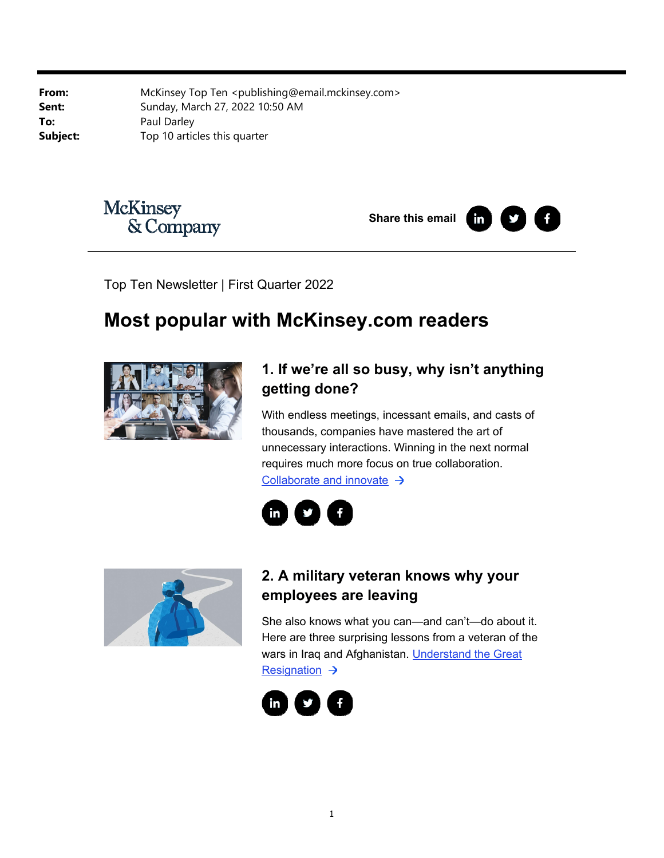**From:** McKinsey Top Ten <publishing@email.mckinsey.com> **Sent:** Sunday, March 27, 2022 10:50 AM **To:** Paul Darley **Subject:** Top 10 articles this quarter



**Share this email in** 



Top Ten Newsletter | First Quarter 2022

# **Most popular with McKinsey.com readers**



# **1. If we're all so busy, why isn't anything getting done?**

With endless meetings, incessant emails, and casts of thousands, companies have mastered the art of unnecessary interactions. Winning in the next normal requires much more focus on true collaboration. Collaborate and innovate  $\rightarrow$ 





# **2. A military veteran knows why your employees are leaving**

She also knows what you can—and can't—do about it. Here are three surprising lessons from a veteran of the wars in Iraq and Afghanistan. Understand the Great Resignation  $\rightarrow$ 

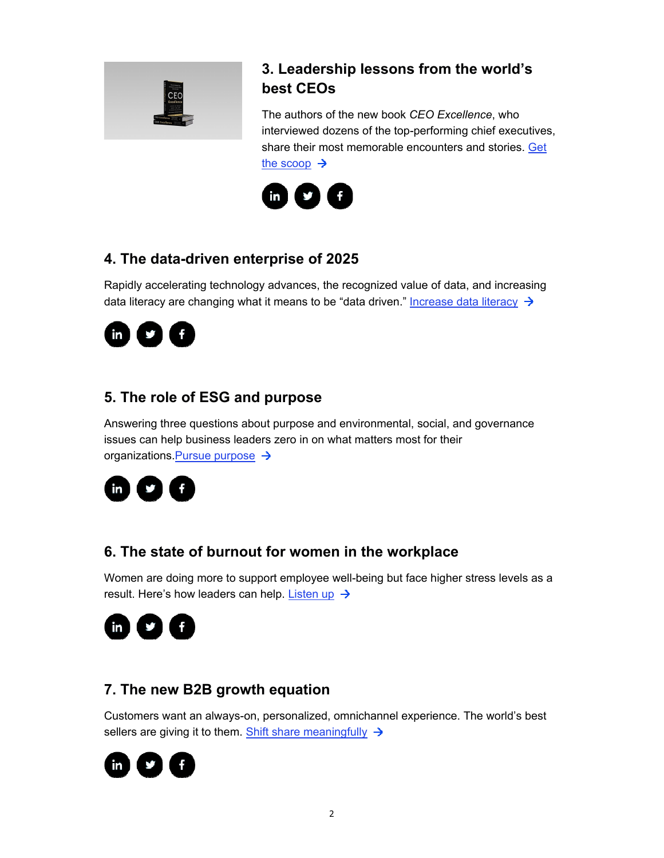

#### **3. Leadership lessons from the world's best CEOs**

The authors of the new book *CEO Excellence*, who interviewed dozens of the top-performing chief executives, share their most memorable encounters and stories. Get the scoop  $\rightarrow$ 



#### **4. The data-driven enterprise of 2025**

Rapidly accelerating technology advances, the recognized value of data, and increasing data literacy are changing what it means to be "data driven." Increase data literacy  $\rightarrow$ 



### **5. The role of ESG and purpose**

Answering three questions about purpose and environmental, social, and governance issues can help business leaders zero in on what matters most for their organizations. Pursue purpose  $\rightarrow$ 



#### **6. The state of burnout for women in the workplace**

Women are doing more to support employee well-being but face higher stress levels as a result. Here's how leaders can help. Listen up  $\rightarrow$ 



#### **7. The new B2B growth equation**

Customers want an always-on, personalized, omnichannel experience. The world's best sellers are giving it to them. Shift share meaningfully  $\rightarrow$ 

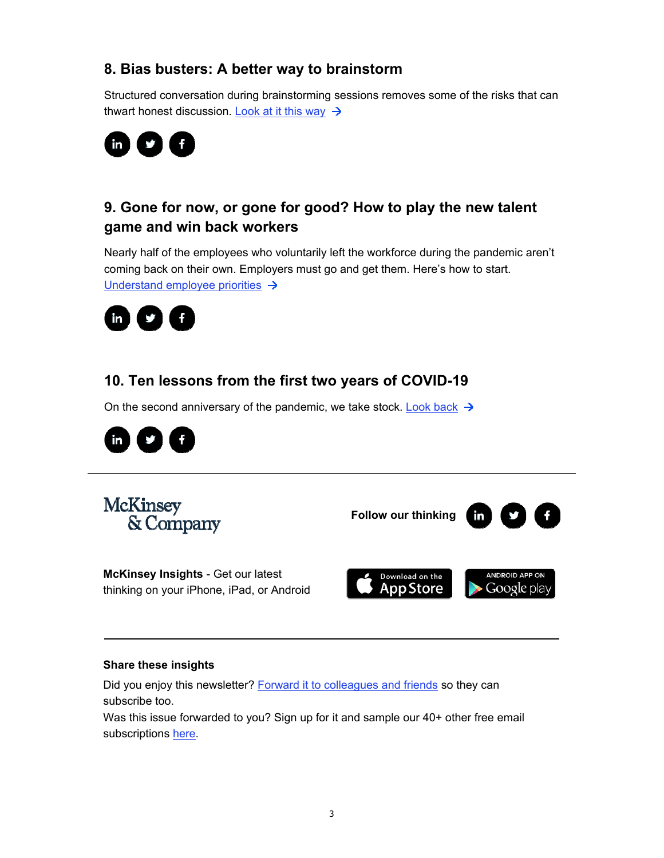#### **8. Bias busters: A better way to brainstorm**

Structured conversation during brainstorming sessions removes some of the risks that can thwart honest discussion. Look at it this way  $\rightarrow$ 



# **9. Gone for now, or gone for good? How to play the new talent game and win back workers**

Nearly half of the employees who voluntarily left the workforce during the pandemic aren't coming back on their own. Employers must go and get them. Here's how to start. Understand employee priorities  $\rightarrow$ 



# **10. Ten lessons from the first two years of COVID-19**

On the second anniversary of the pandemic, we take stock. Look back  $\rightarrow$ 



**McKinsey** & Company

**Follow our thinking** 



**McKinsey Insights** - Get our latest thinking on your iPhone, iPad, or Android



#### **Share these insights**

Did you enjoy this newsletter? Forward it to colleagues and friends so they can subscribe too.

Was this issue forwarded to you? Sign up for it and sample our 40+ other free email subscriptions here.